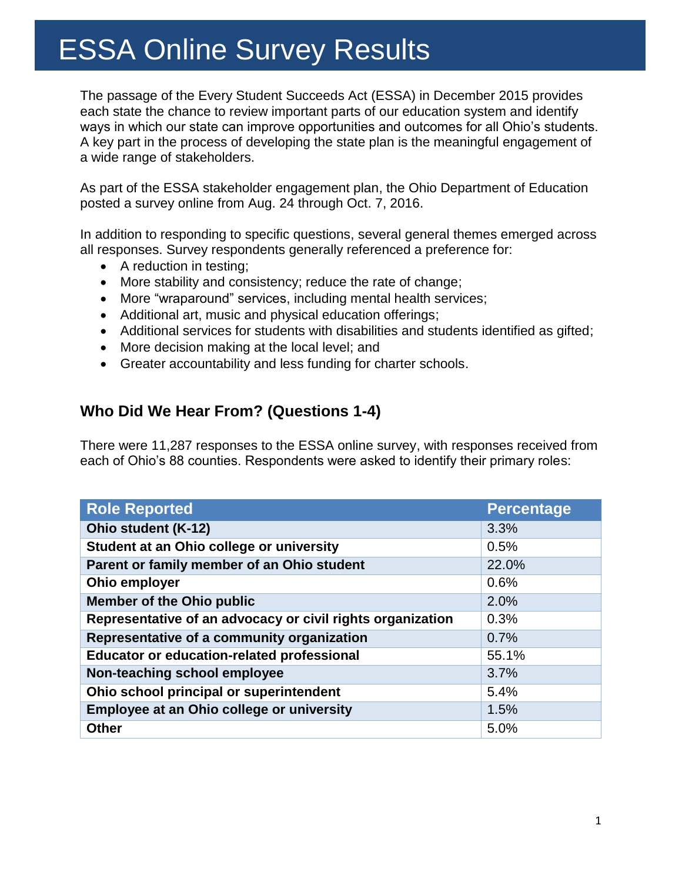The passage of the Every Student Succeeds Act (ESSA) in December 2015 provides each state the chance to review important parts of our education system and identify ways in which our state can improve opportunities and outcomes for all Ohio's students. A key part in the process of developing the state plan is the meaningful engagement of a wide range of stakeholders.

As part of the ESSA stakeholder engagement plan, the Ohio Department of Education posted a survey online from Aug. 24 through Oct. 7, 2016.

In addition to responding to specific questions, several general themes emerged across all responses. Survey respondents generally referenced a preference for:

- A reduction in testing;
- More stability and consistency; reduce the rate of change;
- More "wraparound" services, including mental health services;
- Additional art, music and physical education offerings;
- Additional services for students with disabilities and students identified as gifted;
- More decision making at the local level; and
- Greater accountability and less funding for charter schools.

## **Who Did We Hear From? (Questions 1-4)**

There were 11,287 responses to the ESSA online survey, with responses received from each of Ohio's 88 counties. Respondents were asked to identify their primary roles:

| <b>Role Reported</b>                                       | <b>Percentage</b> |
|------------------------------------------------------------|-------------------|
| Ohio student (K-12)                                        | 3.3%              |
| Student at an Ohio college or university                   | 0.5%              |
| Parent or family member of an Ohio student                 | 22.0%             |
| Ohio employer                                              | 0.6%              |
| <b>Member of the Ohio public</b>                           | 2.0%              |
| Representative of an advocacy or civil rights organization | 0.3%              |
| Representative of a community organization                 | 0.7%              |
| <b>Educator or education-related professional</b>          | 55.1%             |
| Non-teaching school employee                               | 3.7%              |
| Ohio school principal or superintendent                    | 5.4%              |
| Employee at an Ohio college or university                  | 1.5%              |
| <b>Other</b>                                               | 5.0%              |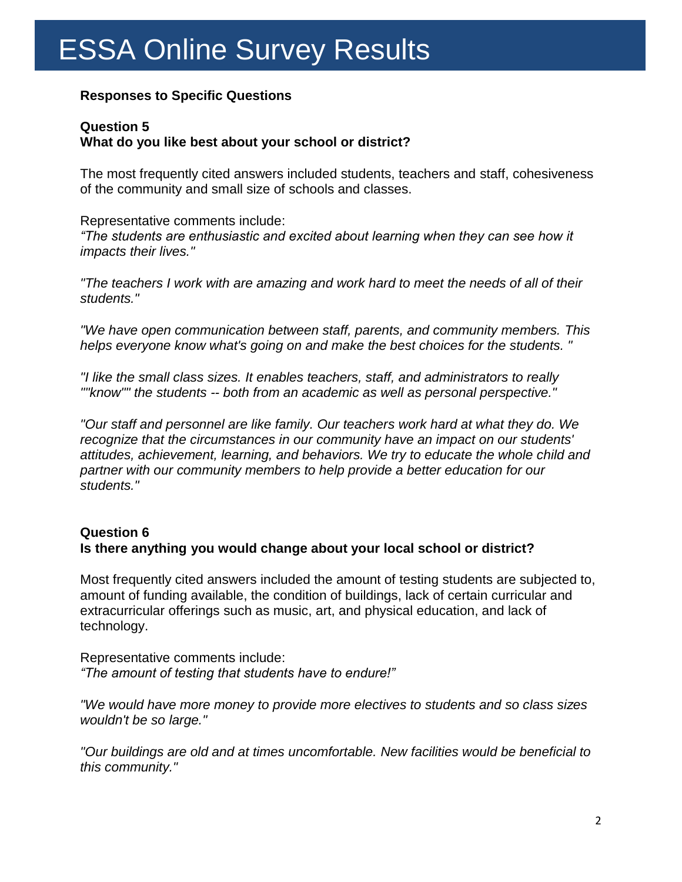### **Responses to Specific Questions**

### **Question 5**

### **What do you like best about your school or district?**

The most frequently cited answers included students, teachers and staff, cohesiveness of the community and small size of schools and classes.

Representative comments include: *"The students are enthusiastic and excited about learning when they can see how it impacts their lives."*

*"The teachers I work with are amazing and work hard to meet the needs of all of their students."*

*"We have open communication between staff, parents, and community members. This helps everyone know what's going on and make the best choices for the students. "*

*"I like the small class sizes. It enables teachers, staff, and administrators to really ""know"" the students -- both from an academic as well as personal perspective."*

*"Our staff and personnel are like family. Our teachers work hard at what they do. We recognize that the circumstances in our community have an impact on our students' attitudes, achievement, learning, and behaviors. We try to educate the whole child and partner with our community members to help provide a better education for our students."*

## **Question 6**

### **Is there anything you would change about your local school or district?**

Most frequently cited answers included the amount of testing students are subjected to, amount of funding available, the condition of buildings, lack of certain curricular and extracurricular offerings such as music, art, and physical education, and lack of technology.

Representative comments include: *"The amount of testing that students have to endure!"*

*"We would have more money to provide more electives to students and so class sizes wouldn't be so large."*

*"Our buildings are old and at times uncomfortable. New facilities would be beneficial to this community."*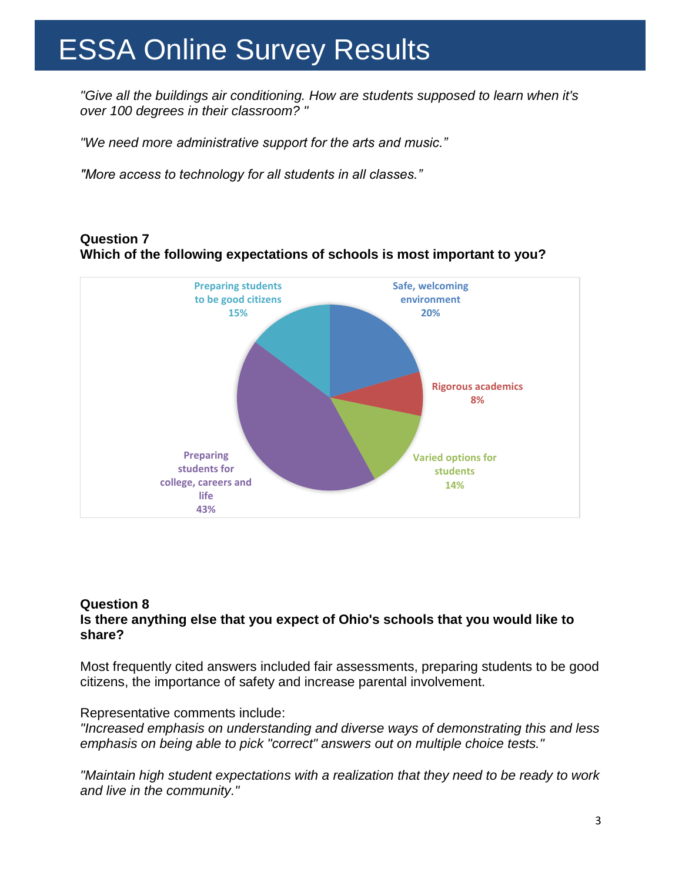*"Give all the buildings air conditioning. How are students supposed to learn when it's over 100 degrees in their classroom? "*

*"We need more administrative support for the arts and music."*

*"More access to technology for all students in all classes."*

#### **Question 7 Which of the following expectations of schools is most important to you?**



#### **Question 8 Is there anything else that you expect of Ohio's schools that you would like to share?**

Most frequently cited answers included fair assessments, preparing students to be good citizens, the importance of safety and increase parental involvement.

#### Representative comments include:

*"Increased emphasis on understanding and diverse ways of demonstrating this and less emphasis on being able to pick "correct" answers out on multiple choice tests."*

*"Maintain high student expectations with a realization that they need to be ready to work and live in the community."*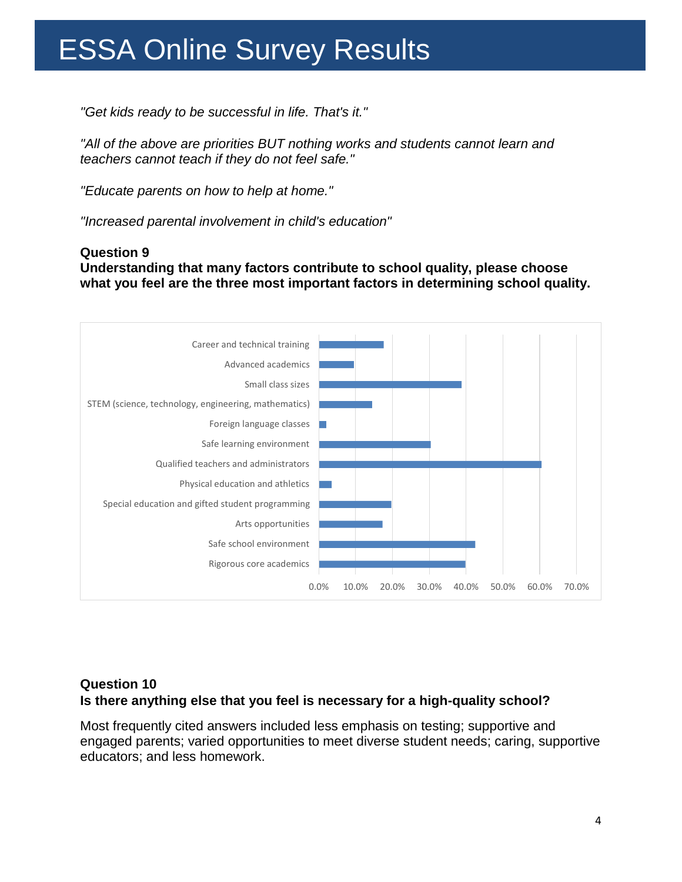*"Get kids ready to be successful in life. That's it."*

*"All of the above are priorities BUT nothing works and students cannot learn and teachers cannot teach if they do not feel safe."*

*"Educate parents on how to help at home."*

*"Increased parental involvement in child's education"*

#### **Question 9**

**Understanding that many factors contribute to school quality, please choose what you feel are the three most important factors in determining school quality.**



### **Question 10 Is there anything else that you feel is necessary for a high-quality school?**

Most frequently cited answers included less emphasis on testing; supportive and engaged parents; varied opportunities to meet diverse student needs; caring, supportive educators; and less homework.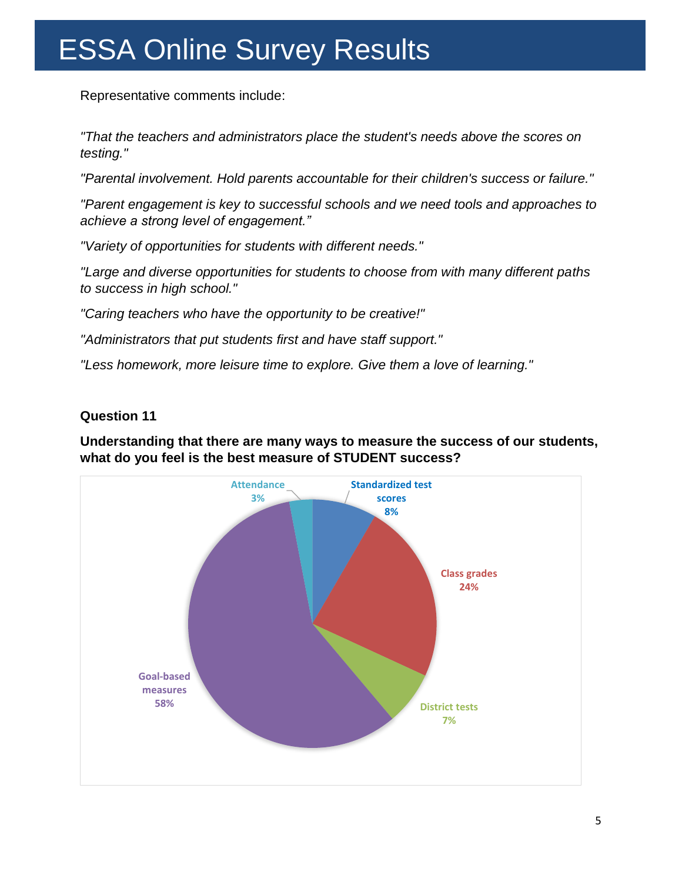Representative comments include:

*"That the teachers and administrators place the student's needs above the scores on testing."* 

*"Parental involvement. Hold parents accountable for their children's success or failure."* 

*"Parent engagement is key to successful schools and we need tools and approaches to achieve a strong level of engagement."*

*"Variety of opportunities for students with different needs."* 

*"Large and diverse opportunities for students to choose from with many different paths to success in high school."* 

*"Caring teachers who have the opportunity to be creative!"* 

*"Administrators that put students first and have staff support."* 

*"Less homework, more leisure time to explore. Give them a love of learning."* 

### **Question 11**

**Understanding that there are many ways to measure the success of our students, what do you feel is the best measure of STUDENT success?** 

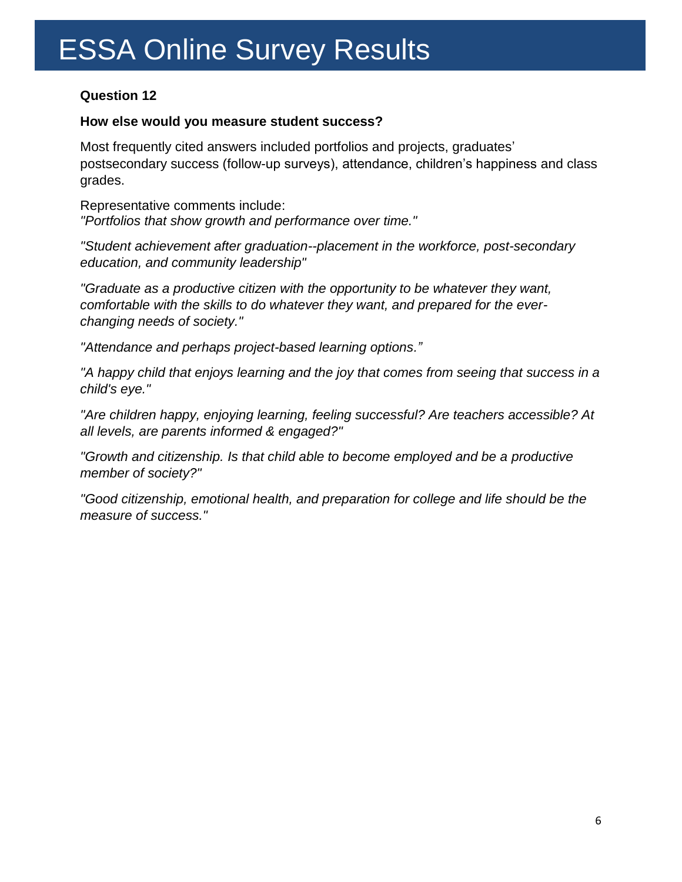### **Question 12**

#### **How else would you measure student success?**

Most frequently cited answers included portfolios and projects, graduates' postsecondary success (follow-up surveys), attendance, children's happiness and class grades.

Representative comments include: *"Portfolios that show growth and performance over time."* 

*"Student achievement after graduation--placement in the workforce, post-secondary education, and community leadership"* 

*"Graduate as a productive citizen with the opportunity to be whatever they want, comfortable with the skills to do whatever they want, and prepared for the everchanging needs of society."*

*"Attendance and perhaps project-based learning options."*

*"A happy child that enjoys learning and the joy that comes from seeing that success in a child's eye."* 

*"Are children happy, enjoying learning, feeling successful? Are teachers accessible? At all levels, are parents informed & engaged?"* 

*"Growth and citizenship. Is that child able to become employed and be a productive member of society?"* 

*"Good citizenship, emotional health, and preparation for college and life should be the measure of success."*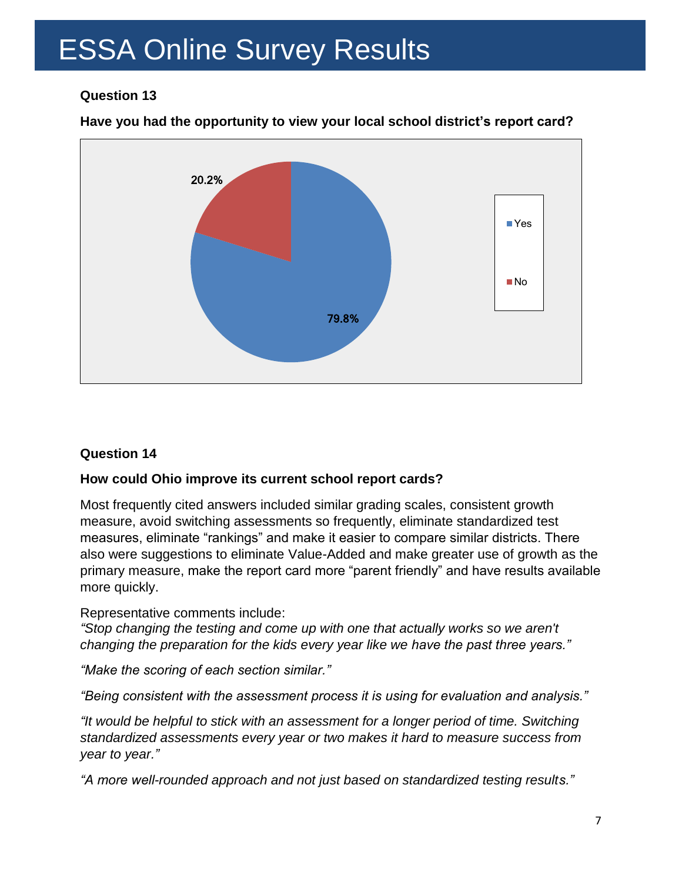### **Question 13**

### **Have you had the opportunity to view your local school district's report card?**



### **Question 14**

### **How could Ohio improve its current school report cards?**

Most frequently cited answers included similar grading scales, consistent growth measure, avoid switching assessments so frequently, eliminate standardized test measures, eliminate "rankings" and make it easier to compare similar districts. There also were suggestions to eliminate Value-Added and make greater use of growth as the primary measure, make the report card more "parent friendly" and have results available more quickly.

#### Representative comments include:

*"Stop changing the testing and come up with one that actually works so we aren't changing the preparation for the kids every year like we have the past three years."*

*"Make the scoring of each section similar."* 

*"Being consistent with the assessment process it is using for evaluation and analysis."*

*"It would be helpful to stick with an assessment for a longer period of time. Switching standardized assessments every year or two makes it hard to measure success from year to year."*

*"A more well-rounded approach and not just based on standardized testing results."*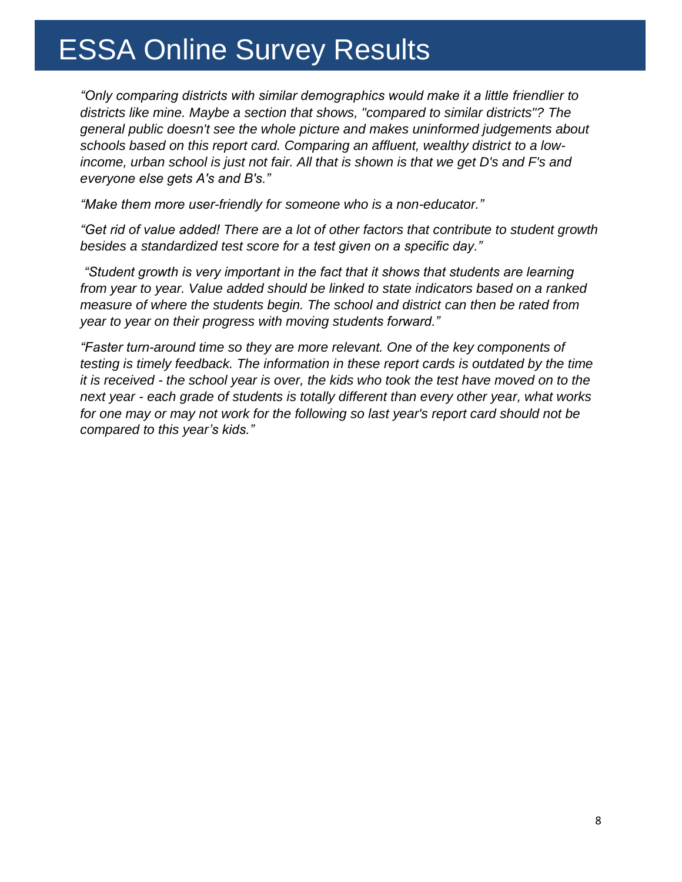*"Only comparing districts with similar demographics would make it a little friendlier to districts like mine. Maybe a section that shows, "compared to similar districts"? The general public doesn't see the whole picture and makes uninformed judgements about schools based on this report card. Comparing an affluent, wealthy district to a lowincome, urban school is just not fair. All that is shown is that we get D's and F's and everyone else gets A's and B's."*

*"Make them more user-friendly for someone who is a non-educator."*

*"Get rid of value added! There are a lot of other factors that contribute to student growth besides a standardized test score for a test given on a specific day."*

*"Student growth is very important in the fact that it shows that students are learning from year to year. Value added should be linked to state indicators based on a ranked measure of where the students begin. The school and district can then be rated from year to year on their progress with moving students forward."*

*"Faster turn-around time so they are more relevant. One of the key components of testing is timely feedback. The information in these report cards is outdated by the time it is received - the school year is over, the kids who took the test have moved on to the next year - each grade of students is totally different than every other year, what works for one may or may not work for the following so last year's report card should not be compared to this year's kids."*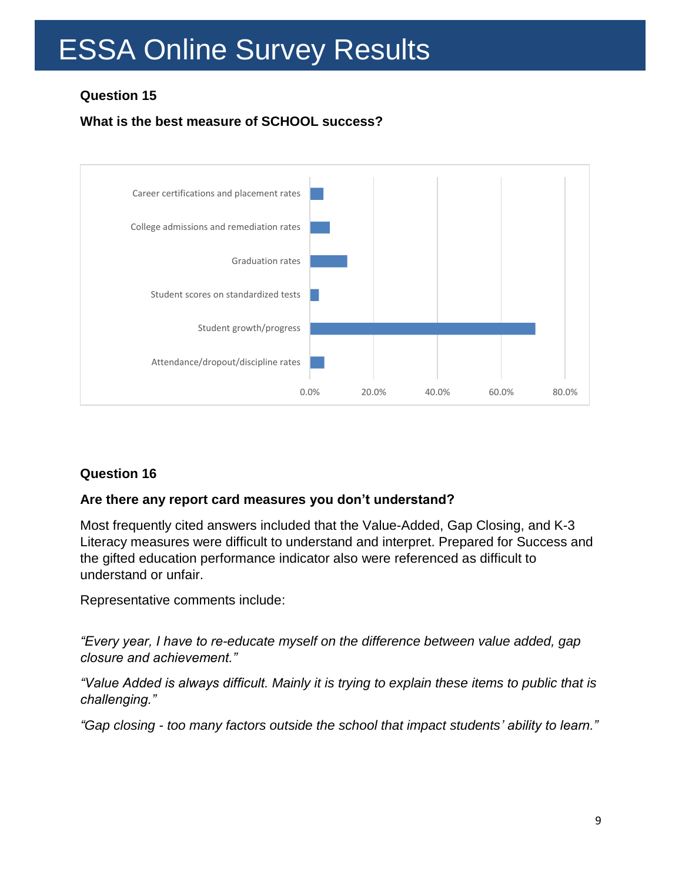## **Question 15**

## **What is the best measure of SCHOOL success?**



### **Question 16**

### **Are there any report card measures you don't understand?**

Most frequently cited answers included that the Value-Added, Gap Closing, and K-3 Literacy measures were difficult to understand and interpret. Prepared for Success and the gifted education performance indicator also were referenced as difficult to understand or unfair.

Representative comments include:

*"Every year, I have to re-educate myself on the difference between value added, gap closure and achievement."*

*"Value Added is always difficult. Mainly it is trying to explain these items to public that is challenging."*

*"Gap closing - too many factors outside the school that impact students' ability to learn."*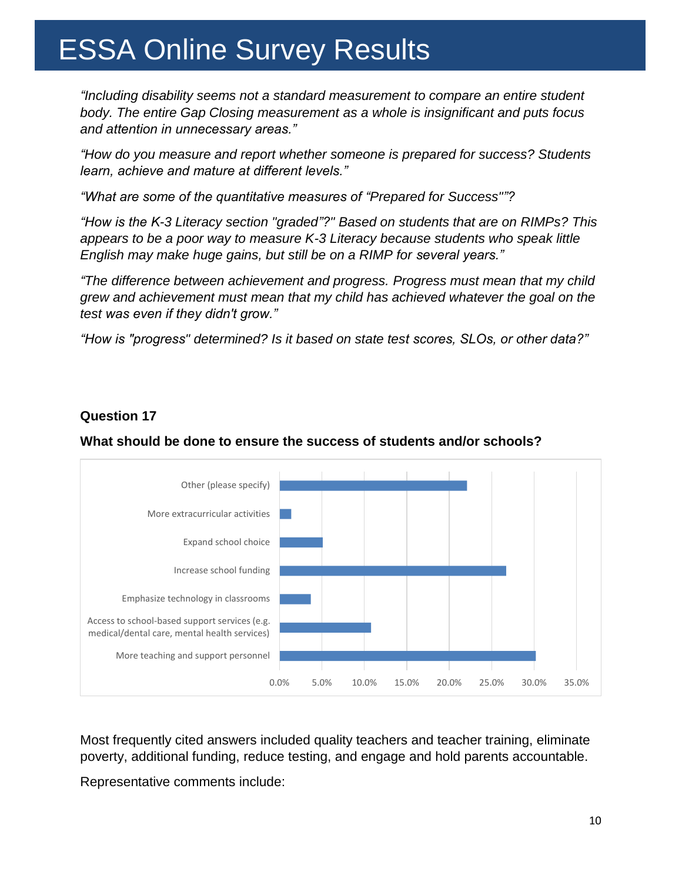*"Including disability seems not a standard measurement to compare an entire student body. The entire Gap Closing measurement as a whole is insignificant and puts focus and attention in unnecessary areas."*

*"How do you measure and report whether someone is prepared for success? Students learn, achieve and mature at different levels."* 

*"What are some of the quantitative measures of "Prepared for Success""?*

*"How is the K-3 Literacy section "graded"?" Based on students that are on RIMPs? This appears to be a poor way to measure K-3 Literacy because students who speak little English may make huge gains, but still be on a RIMP for several years."*

*"The difference between achievement and progress. Progress must mean that my child grew and achievement must mean that my child has achieved whatever the goal on the test was even if they didn't grow."*

*"How is "progress" determined? Is it based on state test scores, SLOs, or other data?"*

### **Question 17**

### **What should be done to ensure the success of students and/or schools?**



Most frequently cited answers included quality teachers and teacher training, eliminate poverty, additional funding, reduce testing, and engage and hold parents accountable.

Representative comments include: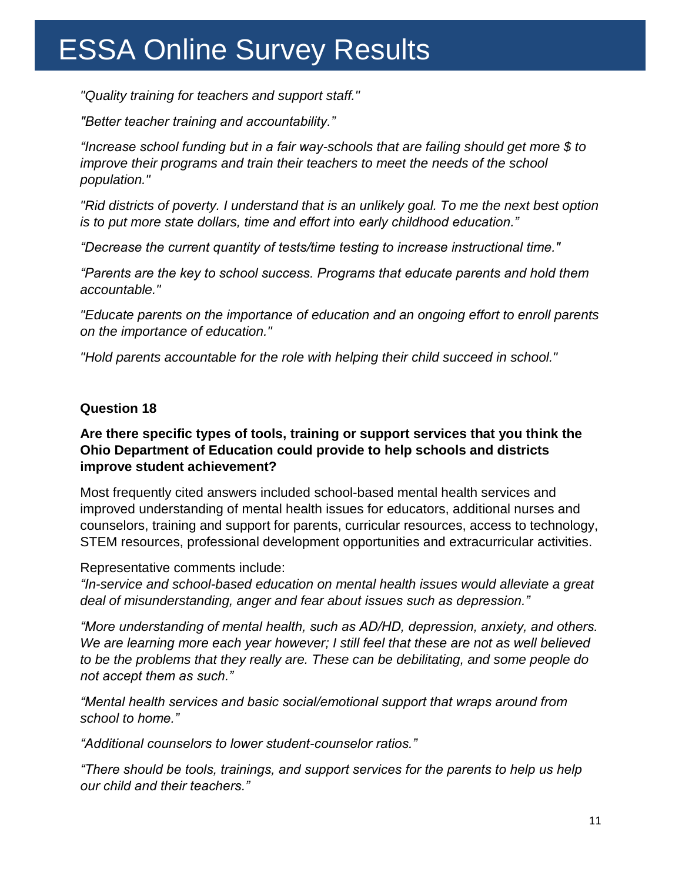*"Quality training for teachers and support staff."* 

*"Better teacher training and accountability."*

*"Increase school funding but in a fair way-schools that are failing should get more \$ to improve their programs and train their teachers to meet the needs of the school population."* 

*"Rid districts of poverty. I understand that is an unlikely goal. To me the next best option is to put more state dollars, time and effort into early childhood education."* 

*"Decrease the current quantity of tests/time testing to increase instructional time."*

*"Parents are the key to school success. Programs that educate parents and hold them accountable."* 

*"Educate parents on the importance of education and an ongoing effort to enroll parents on the importance of education."* 

*"Hold parents accountable for the role with helping their child succeed in school."* 

### **Question 18**

#### **Are there specific types of tools, training or support services that you think the Ohio Department of Education could provide to help schools and districts improve student achievement?**

Most frequently cited answers included school-based mental health services and improved understanding of mental health issues for educators, additional nurses and counselors, training and support for parents, curricular resources, access to technology, STEM resources, professional development opportunities and extracurricular activities.

Representative comments include:

*"In-service and school-based education on mental health issues would alleviate a great deal of misunderstanding, anger and fear about issues such as depression."*

*"More understanding of mental health, such as AD/HD, depression, anxiety, and others. We are learning more each year however; I still feel that these are not as well believed to be the problems that they really are. These can be debilitating, and some people do not accept them as such."*

*"Mental health services and basic social/emotional support that wraps around from school to home."*

*"Additional counselors to lower student-counselor ratios."*

*"There should be tools, trainings, and support services for the parents to help us help our child and their teachers."*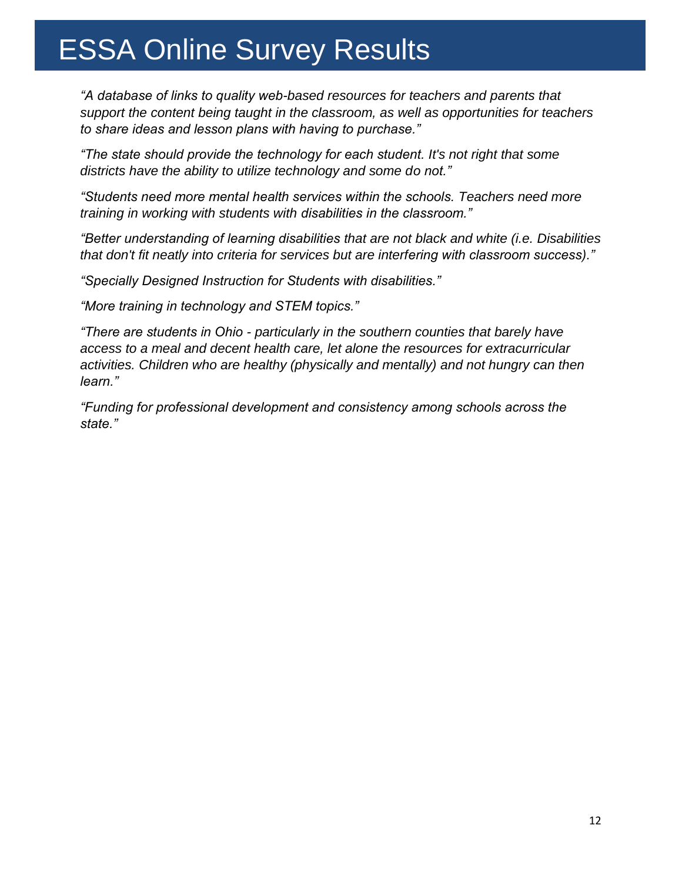*"A database of links to quality web-based resources for teachers and parents that support the content being taught in the classroom, as well as opportunities for teachers to share ideas and lesson plans with having to purchase."* 

*"The state should provide the technology for each student. It's not right that some districts have the ability to utilize technology and some do not."*

*"Students need more mental health services within the schools. Teachers need more training in working with students with disabilities in the classroom."*

*"Better understanding of learning disabilities that are not black and white (i.e. Disabilities that don't fit neatly into criteria for services but are interfering with classroom success)."*

*"Specially Designed Instruction for Students with disabilities."*

*"More training in technology and STEM topics."*

*"There are students in Ohio - particularly in the southern counties that barely have access to a meal and decent health care, let alone the resources for extracurricular activities. Children who are healthy (physically and mentally) and not hungry can then learn."*

*"Funding for professional development and consistency among schools across the state."*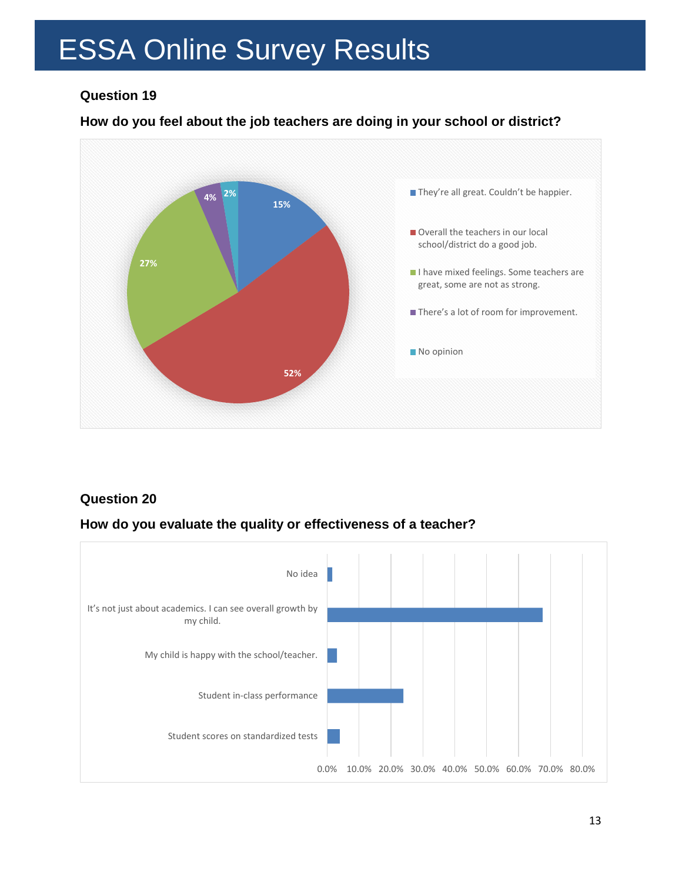### **Question 19**

### **How do you feel about the job teachers are doing in your school or district?**



### **Question 20**

### **How do you evaluate the quality or effectiveness of a teacher?**

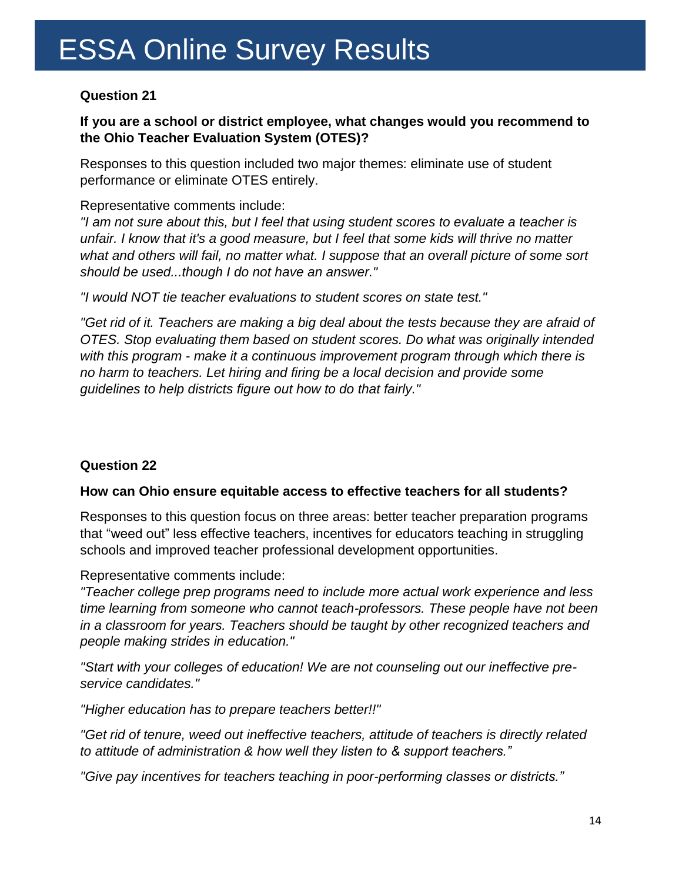### **Question 21**

### **If you are a school or district employee, what changes would you recommend to the Ohio Teacher Evaluation System (OTES)?**

Responses to this question included two major themes: eliminate use of student performance or eliminate OTES entirely.

### Representative comments include:

*"I am not sure about this, but I feel that using student scores to evaluate a teacher is unfair. I know that it's a good measure, but I feel that some kids will thrive no matter what and others will fail, no matter what. I suppose that an overall picture of some sort should be used...though I do not have an answer."*

*"I would NOT tie teacher evaluations to student scores on state test."*

"Get rid of it. Teachers are making a big deal about the tests because they are afraid of *OTES. Stop evaluating them based on student scores. Do what was originally intended with this program - make it a continuous improvement program through which there is no harm to teachers. Let hiring and firing be a local decision and provide some guidelines to help districts figure out how to do that fairly."*

### **Question 22**

### **How can Ohio ensure equitable access to effective teachers for all students?**

Responses to this question focus on three areas: better teacher preparation programs that "weed out" less effective teachers, incentives for educators teaching in struggling schools and improved teacher professional development opportunities.

Representative comments include:

*"Teacher college prep programs need to include more actual work experience and less time learning from someone who cannot teach-professors. These people have not been in a classroom for years. Teachers should be taught by other recognized teachers and people making strides in education."*

*"Start with your colleges of education! We are not counseling out our ineffective preservice candidates."*

*"Higher education has to prepare teachers better!!"*

*"Get rid of tenure, weed out ineffective teachers, attitude of teachers is directly related to attitude of administration & how well they listen to & support teachers."*

*"Give pay incentives for teachers teaching in poor-performing classes or districts."*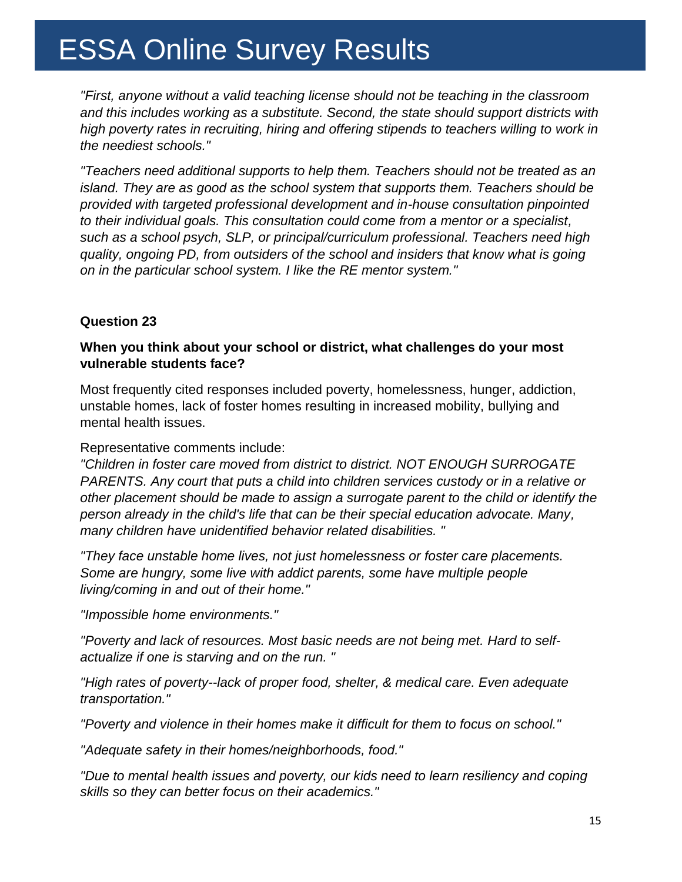*"First, anyone without a valid teaching license should not be teaching in the classroom and this includes working as a substitute. Second, the state should support districts with high poverty rates in recruiting, hiring and offering stipends to teachers willing to work in the neediest schools."*

*"Teachers need additional supports to help them. Teachers should not be treated as an island. They are as good as the school system that supports them. Teachers should be provided with targeted professional development and in-house consultation pinpointed to their individual goals. This consultation could come from a mentor or a specialist, such as a school psych, SLP, or principal/curriculum professional. Teachers need high quality, ongoing PD, from outsiders of the school and insiders that know what is going on in the particular school system. I like the RE mentor system."*

#### **Question 23**

#### **When you think about your school or district, what challenges do your most vulnerable students face?**

Most frequently cited responses included poverty, homelessness, hunger, addiction, unstable homes, lack of foster homes resulting in increased mobility, bullying and mental health issues.

#### Representative comments include:

*"Children in foster care moved from district to district. NOT ENOUGH SURROGATE PARENTS. Any court that puts a child into children services custody or in a relative or other placement should be made to assign a surrogate parent to the child or identify the person already in the child's life that can be their special education advocate. Many, many children have unidentified behavior related disabilities. "*

*"They face unstable home lives, not just homelessness or foster care placements. Some are hungry, some live with addict parents, some have multiple people living/coming in and out of their home."*

*"Impossible home environments."*

*"Poverty and lack of resources. Most basic needs are not being met. Hard to selfactualize if one is starving and on the run. "*

*"High rates of poverty--lack of proper food, shelter, & medical care. Even adequate transportation."*

*"Poverty and violence in their homes make it difficult for them to focus on school."*

*"Adequate safety in their homes/neighborhoods, food."*

*"Due to mental health issues and poverty, our kids need to learn resiliency and coping skills so they can better focus on their academics."*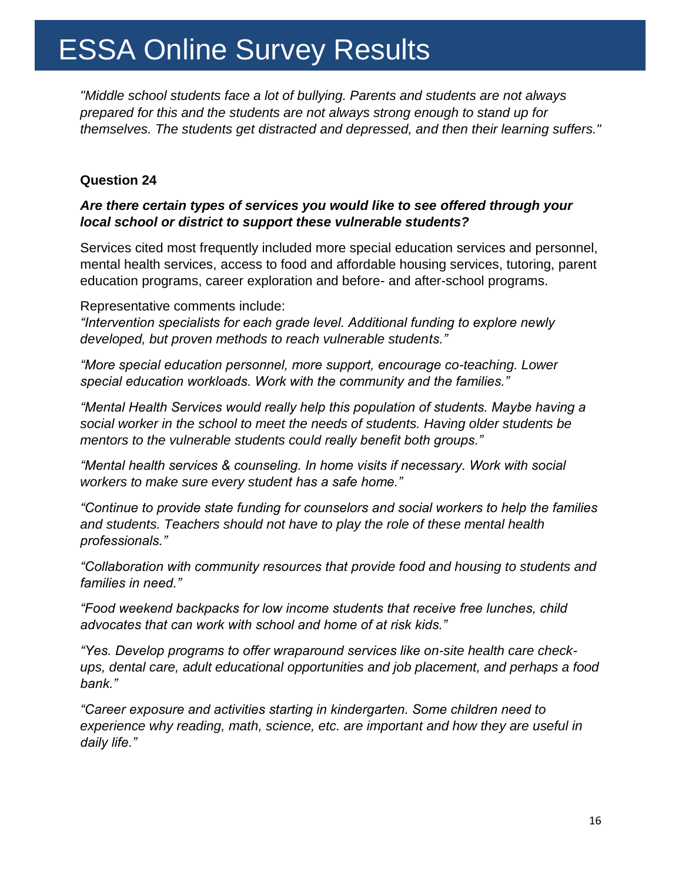*"Middle school students face a lot of bullying. Parents and students are not always prepared for this and the students are not always strong enough to stand up for themselves. The students get distracted and depressed, and then their learning suffers."*

#### **Question 24**

### *Are there certain types of services you would like to see offered through your local school or district to support these vulnerable students?*

Services cited most frequently included more special education services and personnel, mental health services, access to food and affordable housing services, tutoring, parent education programs, career exploration and before- and after-school programs.

Representative comments include:

*"Intervention specialists for each grade level. Additional funding to explore newly developed, but proven methods to reach vulnerable students."*

*"More special education personnel, more support, encourage co-teaching. Lower special education workloads. Work with the community and the families."*

*"Mental Health Services would really help this population of students. Maybe having a social worker in the school to meet the needs of students. Having older students be mentors to the vulnerable students could really benefit both groups."*

*"Mental health services & counseling. In home visits if necessary. Work with social workers to make sure every student has a safe home."*

*"Continue to provide state funding for counselors and social workers to help the families and students. Teachers should not have to play the role of these mental health professionals."*

*"Collaboration with community resources that provide food and housing to students and families in need."*

*"Food weekend backpacks for low income students that receive free lunches, child advocates that can work with school and home of at risk kids."*

*"Yes. Develop programs to offer wraparound services like on-site health care checkups, dental care, adult educational opportunities and job placement, and perhaps a food bank."*

*"Career exposure and activities starting in kindergarten. Some children need to experience why reading, math, science, etc. are important and how they are useful in daily life."*